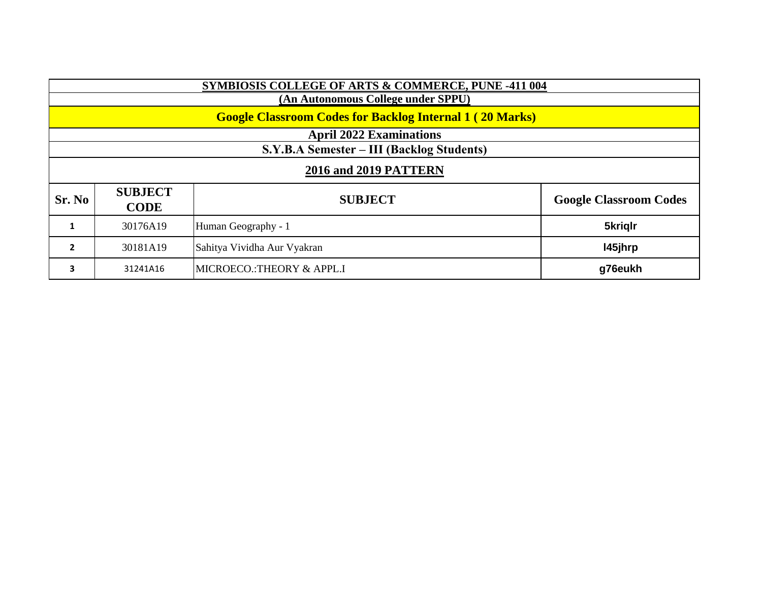| <b>SYMBIOSIS COLLEGE OF ARTS &amp; COMMERCE, PUNE -411 004</b>  |                               |                             |                               |  |  |  |
|-----------------------------------------------------------------|-------------------------------|-----------------------------|-------------------------------|--|--|--|
| (An Autonomous College under SPPU)                              |                               |                             |                               |  |  |  |
| <b>Google Classroom Codes for Backlog Internal 1 (20 Marks)</b> |                               |                             |                               |  |  |  |
| <b>April 2022 Examinations</b>                                  |                               |                             |                               |  |  |  |
| S.Y.B.A Semester – III (Backlog Students)                       |                               |                             |                               |  |  |  |
| <b>2016 and 2019 PATTERN</b>                                    |                               |                             |                               |  |  |  |
| Sr. No                                                          | <b>SUBJECT</b><br><b>CODE</b> | <b>SUBJECT</b>              | <b>Google Classroom Codes</b> |  |  |  |
| 1                                                               | 30176A19                      | Human Geography - 1         | 5kriglr                       |  |  |  |
| $\overline{2}$                                                  | 30181A19                      | Sahitya Vividha Aur Vyakran | 145jhrp                       |  |  |  |
| 3                                                               | 31241A16                      | MICROECO.: THEORY & APPL.I  | g76eukh                       |  |  |  |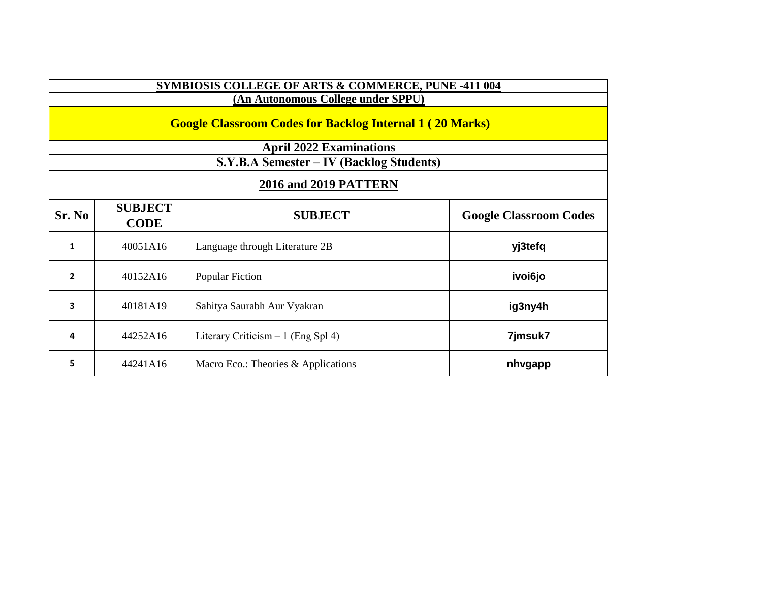| <b>SYMBIOSIS COLLEGE OF ARTS &amp; COMMERCE, PUNE -411 004</b>  |                               |                                     |                               |  |  |  |
|-----------------------------------------------------------------|-------------------------------|-------------------------------------|-------------------------------|--|--|--|
| (An Autonomous College under SPPU)                              |                               |                                     |                               |  |  |  |
| <b>Google Classroom Codes for Backlog Internal 1 (20 Marks)</b> |                               |                                     |                               |  |  |  |
| <b>April 2022 Examinations</b>                                  |                               |                                     |                               |  |  |  |
| S.Y.B.A Semester – IV (Backlog Students)                        |                               |                                     |                               |  |  |  |
| <b>2016 and 2019 PATTERN</b>                                    |                               |                                     |                               |  |  |  |
| Sr. No                                                          | <b>SUBJECT</b><br><b>CODE</b> | <b>SUBJECT</b>                      | <b>Google Classroom Codes</b> |  |  |  |
| 1                                                               | 40051A16                      | Language through Literature 2B      | yj3tefq                       |  |  |  |
| $\overline{2}$                                                  | 40152A16                      | Popular Fiction                     | ivoi6jo                       |  |  |  |
| 3                                                               | 40181A19                      | Sahitya Saurabh Aur Vyakran         | ig3ny4h                       |  |  |  |
| 4                                                               | 44252A16                      | Literary Criticism $-1$ (Eng Spl 4) | 7jmsuk7                       |  |  |  |
| 5                                                               | 44241A16                      | Macro Eco.: Theories & Applications | nhvgapp                       |  |  |  |